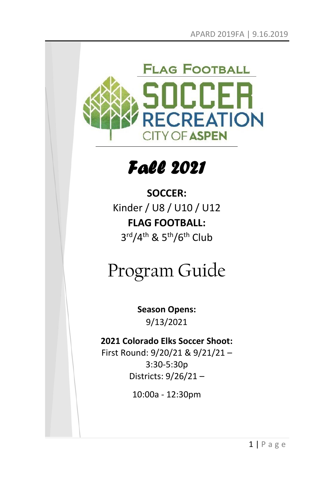

# *Fall 2021*

**SOCCER:** Kinder / U8 / U10 / U12 **FLAG FOOTBALL:** 3<sup>rd</sup>/4<sup>th</sup> & 5<sup>th</sup>/6<sup>th</sup> Club

# Program Guide

**Season Opens:** 9/13/2021

### **2021 Colorado Elks Soccer Shoot:**

First Round: 9/20/21 & 9/21/21 – 3:30-5:30p Districts: 9/26/21 –

10:00a - 12:30pm

 $1 | P \text{ a ge}$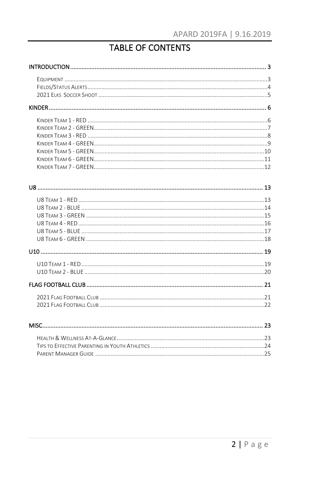## **TABLE OF CONTENTS**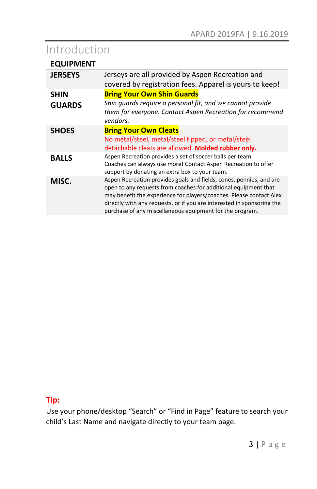# Introduction

|  | <b>EQUIPMENT</b> |
|--|------------------|
|--|------------------|

| <b>JERSEYS</b> | Jerseys are all provided by Aspen Recreation and                                                                                   |  |  |  |  |
|----------------|------------------------------------------------------------------------------------------------------------------------------------|--|--|--|--|
|                | covered by registration fees. Apparel is yours to keep!                                                                            |  |  |  |  |
| <b>SHIN</b>    | <b>Bring Your Own Shin Guards</b>                                                                                                  |  |  |  |  |
| <b>GUARDS</b>  | Shin guards require a personal fit, and we cannot provide                                                                          |  |  |  |  |
|                | them for everyone. Contact Aspen Recreation for recommend                                                                          |  |  |  |  |
|                | vendors.                                                                                                                           |  |  |  |  |
| <b>SHOES</b>   | <b>Bring Your Own Cleats</b>                                                                                                       |  |  |  |  |
|                | No metal/steel, metal/steel tipped, or metal/steel                                                                                 |  |  |  |  |
|                | detachable cleats are allowed. Molded rubber only.                                                                                 |  |  |  |  |
| <b>BALLS</b>   | Aspen Recreation provides a set of soccer balls per team.                                                                          |  |  |  |  |
|                | Coaches can always use more! Contact Aspen Recreation to offer                                                                     |  |  |  |  |
|                | support by donating an extra box to your team.                                                                                     |  |  |  |  |
| MISC.          | Aspen Recreation provides goals and fields, cones, pennies, and are                                                                |  |  |  |  |
|                | open to any requests from coaches for additional equipment that                                                                    |  |  |  |  |
|                | may benefit the experience for players/coaches. Please contact Alex                                                                |  |  |  |  |
|                | directly with any requests, or if you are interested in sponsoring the<br>purchase of any miscellaneous equipment for the program. |  |  |  |  |
|                |                                                                                                                                    |  |  |  |  |

### **Tip:**

Use your phone/desktop "Search" or "Find in Page" feature to search your child's Last Name and navigate directly to your team page.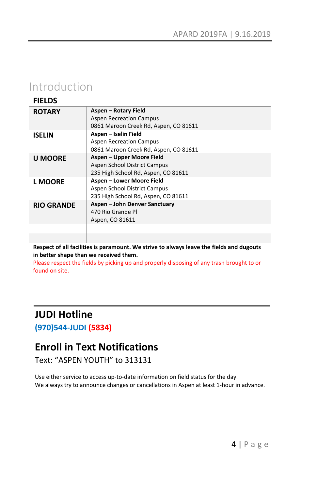## Introduction

| <b>FIELDS</b>     |                                                                                                  |
|-------------------|--------------------------------------------------------------------------------------------------|
| <b>ROTARY</b>     | Aspen - Rotary Field<br><b>Aspen Recreation Campus</b>                                           |
|                   | 0861 Maroon Creek Rd, Aspen, CO 81611                                                            |
| <b>ISELIN</b>     | Aspen - Iselin Field<br><b>Aspen Recreation Campus</b><br>0861 Maroon Creek Rd, Aspen, CO 81611  |
| <b>U MOORE</b>    | Aspen - Upper Moore Field<br>Aspen School District Campus<br>235 High School Rd, Aspen, CO 81611 |
| <b>L MOORE</b>    | Aspen - Lower Moore Field<br>Aspen School District Campus<br>235 High School Rd, Aspen, CO 81611 |
| <b>RIO GRANDE</b> | Aspen - John Denver Sanctuary<br>470 Rio Grande Pl<br>Aspen, CO 81611                            |
|                   |                                                                                                  |

**Respect of all facilities is paramount. We strive to always leave the fields and dugouts in better shape than we received them.** 

Please respect the fields by picking up and properly disposing of any trash brought to or found on site.

## **JUDI Hotline**

**(970)544-JUDI (5834)**

### **Enroll in Text Notifications**

Text: "ASPEN YOUTH" to 313131

Use either service to access up-to-date information on field status for the day. We always try to announce changes or cancellations in Aspen at least 1-hour in advance.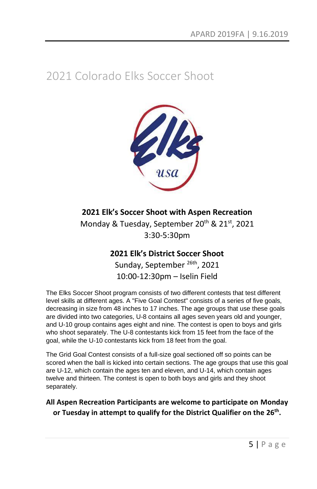# 2021 Colorado Elks Soccer Shoot



### **2021 Elk's Soccer Shoot with Aspen Recreation**

Monday & Tuesday, September 20<sup>th</sup> & 21<sup>st</sup>, 2021 3:30-5:30pm

### **2021 Elk's District Soccer Shoot**

Sunday, September<sup>26th</sup>, 2021 10:00-12:30pm – Iselin Field

The Elks Soccer Shoot program consists of two different contests that test different level skills at different ages. A "Five Goal Contest" consists of a series of five goals, decreasing in size from 48 inches to 17 inches. The age groups that use these goals are divided into two categories, U-8 contains all ages seven years old and younger, and U-10 group contains ages eight and nine. The contest is open to boys and girls who shoot separately. The U-8 contestants kick from 15 feet from the face of the goal, while the U-10 contestants kick from 18 feet from the goal.

The Grid Goal Contest consists of a full-size goal sectioned off so points can be scored when the ball is kicked into certain sections. The age groups that use this goal are U-12, which contain the ages ten and eleven, and U-14, which contain ages twelve and thirteen. The contest is open to both boys and girls and they shoot separately.

### **All Aspen Recreation Participants are welcome to participate on Monday or Tuesday in attempt to qualify for the District Qualifier on the 26th .**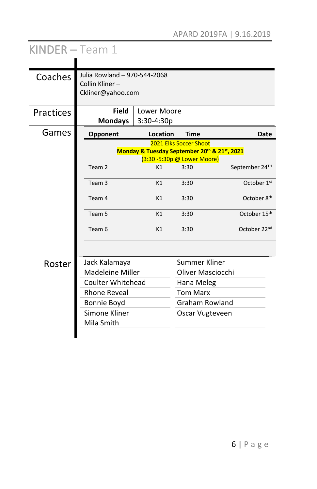| KINDER-Team 1 |                                                                     |                                              |                             |                         |
|---------------|---------------------------------------------------------------------|----------------------------------------------|-----------------------------|-------------------------|
| Coaches       | Julia Rowland - 970-544-2068<br>Collin Kliner-<br>Ckliner@yahoo.com |                                              |                             |                         |
| Practices     | <b>Field</b><br><b>Mondays</b>                                      | Lower Moore<br>$3:30-4:30p$                  |                             |                         |
| Games         | Opponent                                                            | Location                                     | <b>Time</b>                 | Date                    |
|               |                                                                     |                                              | 2021 Elks Soccer Shoot      |                         |
|               |                                                                     | Monday & Tuesday September 20th & 21st, 2021 | (3:30 -5:30p @ Lower Moore) |                         |
|               | Team <sub>2</sub>                                                   | K1                                           | 3:30                        | September 24TH          |
|               | Team <sub>3</sub>                                                   | K1                                           | 3:30                        | October 1 <sup>st</sup> |
|               | Team 4                                                              | K1                                           | 3:30                        | October 8 <sup>th</sup> |
|               | Team 5                                                              | K1                                           | 3:30                        | October 15th            |
|               | Team 6                                                              | K1                                           | 3:30                        | October 22nd            |
|               |                                                                     |                                              |                             |                         |
| Roster        | Jack Kalamaya                                                       |                                              | Summer Kliner               |                         |
|               | Madeleine Miller                                                    |                                              | Oliver Masciocchi           |                         |
|               | <b>Coulter Whitehead</b>                                            |                                              | Hana Meleg                  |                         |
|               | <b>Rhone Reveal</b>                                                 |                                              | <b>Tom Marx</b>             |                         |
|               | Bonnie Boyd                                                         |                                              | <b>Graham Rowland</b>       |                         |
|               | Simone Kliner<br>Mila Smith                                         |                                              | Oscar Vugteveen             |                         |
|               |                                                                     |                                              |                             |                         |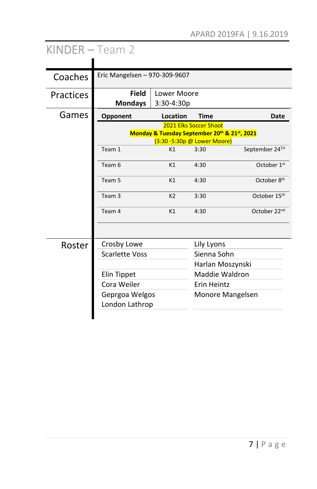| KINDER-Team 2    |                                  |                                                                             |                        |                         |
|------------------|----------------------------------|-----------------------------------------------------------------------------|------------------------|-------------------------|
| Coaches          | Eric Mangelsen - 970-309-9607    |                                                                             |                        |                         |
| <b>Practices</b> | <b>Field</b><br><b>Mondays</b>   | Lower Moore<br>3:30-4:30p                                                   |                        |                         |
| Games            | Opponent                         | Location                                                                    | <b>Time</b>            | <b>Date</b>             |
|                  |                                  | Monday & Tuesday September 20th & 21st, 2021<br>(3:30 -5:30p @ Lower Moore) | 2021 Elks Soccer Shoot |                         |
|                  | Team 1                           | K1                                                                          | 3:30                   | September 24TH          |
|                  | Team 6                           | K1                                                                          | 4:30                   | October 1st             |
|                  | Team <sub>5</sub>                | K1                                                                          | 4:30                   | October 8 <sup>th</sup> |
|                  | Team <sub>3</sub>                | K <sub>2</sub>                                                              | 3:30                   | October 15th            |
|                  | Team 4                           | K1                                                                          | 4:30                   | October 22nd            |
|                  |                                  |                                                                             |                        |                         |
| Roster           | Crosby Lowe                      |                                                                             | Lily Lyons             |                         |
|                  | <b>Scarlette Voss</b>            |                                                                             | Sienna Sohn            |                         |
|                  |                                  |                                                                             | Harlan Moszynski       |                         |
|                  | Elin Tippet                      |                                                                             | Maddie Waldron         |                         |
|                  | Cora Weiler                      |                                                                             | Erin Heintz            |                         |
|                  | Geprgoa Welgos<br>London Lathrop |                                                                             |                        | Monore Mangelsen        |
|                  |                                  |                                                                             |                        |                         |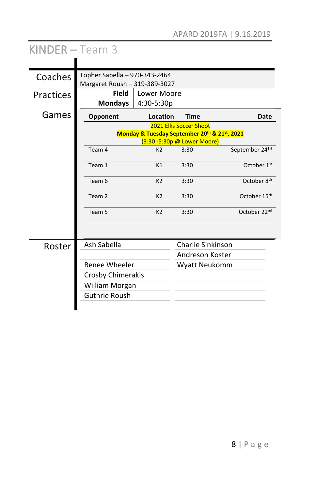| Coaches   | Topher Sabella - 970-343-2464<br>Margaret Roush - 319-389-3027 |                                              |                             |                          |
|-----------|----------------------------------------------------------------|----------------------------------------------|-----------------------------|--------------------------|
| Practices | Field<br><b>Mondays</b>                                        | Lower Moore<br>4:30-5:30p                    |                             |                          |
| Games     | Opponent                                                       | Location                                     | <b>Time</b>                 | Date                     |
|           |                                                                | Monday & Tuesday September 20th & 21st, 2021 | 2021 Elks Soccer Shoot      |                          |
|           |                                                                |                                              | (3:30 -5:30p @ Lower Moore) |                          |
|           | Team 4                                                         | K <sub>2</sub>                               | 3:30                        | September 24TH           |
|           | Team 1                                                         | K1                                           | 3:30                        | October 1 <sup>st</sup>  |
|           | Team 6                                                         | K <sub>2</sub>                               | 3:30                        | October 8th              |
|           | Team <sub>2</sub>                                              | K <sub>2</sub>                               | 3:30                        | October 15th             |
|           | Team 5                                                         | K <sub>2</sub>                               | 3:30                        | October 22 <sup>nd</sup> |
|           |                                                                |                                              |                             |                          |
| Roster    | Ash Sabella                                                    |                                              | Charlie Sinkinson           |                          |
|           |                                                                |                                              | Andreson Koster             |                          |
|           | Renee Wheeler                                                  |                                              | Wyatt Neukomm               |                          |
|           | Crosby Chimerakis                                              |                                              |                             |                          |
|           | William Morgan                                                 |                                              |                             |                          |
|           | <b>Guthrie Roush</b>                                           |                                              |                             |                          |
|           |                                                                |                                              |                             |                          |

# KINDER – Team 3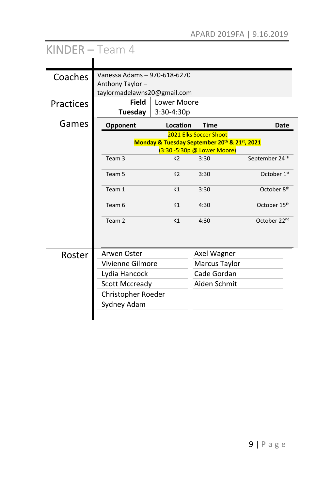| KINDER - Team 4  |                                                                                 |                                              |                                                       |                          |
|------------------|---------------------------------------------------------------------------------|----------------------------------------------|-------------------------------------------------------|--------------------------|
| Coaches          | Vanessa Adams - 970-618-6270<br>Anthony Taylor -<br>taylormadelawns20@gmail.com |                                              |                                                       |                          |
| <b>Practices</b> | <b>Field</b><br>Tuesday                                                         | Lower Moore<br>$3:30-4:30p$                  |                                                       |                          |
| Games            | Opponent                                                                        | Location                                     | <b>Time</b>                                           | Date                     |
|                  |                                                                                 | Monday & Tuesday September 20th & 21st, 2021 | 2021 Elks Soccer Shoot<br>(3:30 -5:30p @ Lower Moore) |                          |
|                  | Team <sub>3</sub>                                                               | K <sub>2</sub>                               | 3:30                                                  | September 24TH           |
|                  | Team 5                                                                          | K <sub>2</sub>                               | 3:30                                                  | October 1 <sup>st</sup>  |
|                  | Team 1                                                                          | K1                                           | 3:30                                                  | October 8th              |
|                  | Team 6                                                                          | K1                                           | 4:30                                                  | October 15th             |
|                  | Team 2                                                                          | K1                                           | 4:30                                                  | October 22 <sup>nd</sup> |
|                  |                                                                                 |                                              |                                                       |                          |
| Roster           | Arwen Oster                                                                     |                                              | Axel Wagner                                           |                          |
|                  | Vivienne Gilmore                                                                |                                              | <b>Marcus Taylor</b>                                  |                          |
|                  | Lydia Hancock                                                                   |                                              | Cade Gordan                                           |                          |
|                  | <b>Scott Mccready</b>                                                           |                                              | Aiden Schmit                                          |                          |
|                  | Christopher Roeder                                                              |                                              |                                                       |                          |
|                  | Sydney Adam                                                                     |                                              |                                                       |                          |
|                  |                                                                                 |                                              |                                                       |                          |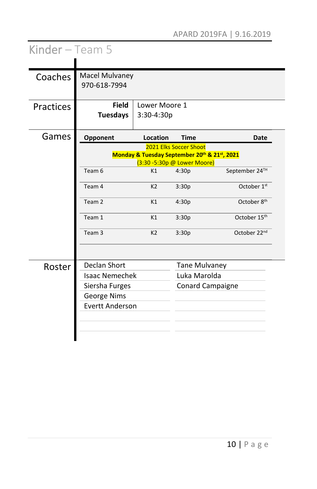| Kinder $-$ Team 5 |                                       |                                                                             |                        |                          |
|-------------------|---------------------------------------|-----------------------------------------------------------------------------|------------------------|--------------------------|
|                   |                                       |                                                                             |                        |                          |
| Coaches           | <b>Macel Mulvaney</b><br>970-618-7994 |                                                                             |                        |                          |
| Practices         | <b>Field</b><br><b>Tuesdays</b>       | Lower Moore 1<br>3:30-4:30p                                                 |                        |                          |
| Games             | Opponent                              | Location                                                                    | <b>Time</b>            | Date                     |
|                   |                                       | Monday & Tuesday September 20th & 21st, 2021<br>(3:30 -5:30p @ Lower Moore) | 2021 Elks Soccer Shoot |                          |
|                   | Team 6                                | K1                                                                          | 4:30p                  | September 24TH           |
|                   | Team 4                                | K <sub>2</sub>                                                              | 3:30p                  | October 1 <sup>st</sup>  |
|                   | Team 2                                | K1                                                                          | 4:30p                  | October 8th              |
|                   | Team 1                                | K1                                                                          | 3:30p                  | October 15th             |
|                   | Team <sub>3</sub>                     | K <sub>2</sub>                                                              | 3:30p                  | October 22 <sup>nd</sup> |
|                   |                                       |                                                                             |                        |                          |
| Roster            | <b>Declan Short</b>                   |                                                                             | <b>Tane Mulvaney</b>   |                          |
|                   | <b>Isaac Nemechek</b>                 |                                                                             | Luka Marolda           |                          |
|                   | Siersha Furges                        |                                                                             |                        | <b>Conard Campaigne</b>  |
|                   | George Nims                           |                                                                             |                        |                          |
|                   | <b>Evertt Anderson</b>                |                                                                             |                        |                          |
|                   |                                       |                                                                             |                        |                          |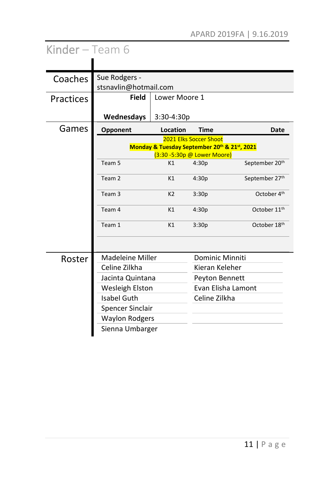| Kinder - Team 6 |                                        |                                                                             |                        |                            |
|-----------------|----------------------------------------|-----------------------------------------------------------------------------|------------------------|----------------------------|
|                 |                                        |                                                                             |                        |                            |
| Coaches         | Sue Rodgers -<br>stsnavlin@hotmail.com |                                                                             |                        |                            |
| Practices       | <b>Field</b>                           | Lower Moore 1                                                               |                        |                            |
|                 | Wednesdays                             | $3:30-4:30p$                                                                |                        |                            |
| Games           | Opponent                               | Location                                                                    | <b>Time</b>            | <b>Date</b>                |
|                 |                                        | Monday & Tuesday September 20th & 21st, 2021<br>(3:30 -5:30p @ Lower Moore) | 2021 Elks Soccer Shoot |                            |
|                 | Team 5                                 | K1                                                                          | 4:30p                  | September 20 <sup>th</sup> |
|                 | Team <sub>2</sub>                      | K1                                                                          | 4:30p                  | September 27th             |
|                 | Team <sub>3</sub>                      | K <sub>2</sub>                                                              | 3:30p                  | October 4 <sup>th</sup>    |
|                 | Team 4                                 | K1                                                                          | 4:30p                  | October 11 <sup>th</sup>   |
|                 | Team 1                                 | K1                                                                          | 3:30p                  | October 18th               |
|                 |                                        |                                                                             |                        |                            |
| Roster          | <b>Madeleine Miller</b>                |                                                                             | Dominic Minniti        |                            |
|                 | Celine Zilkha                          |                                                                             | Kieran Keleher         |                            |
|                 | Jacinta Quintana                       |                                                                             | Peyton Bennett         |                            |
|                 | Wesleigh Elston                        |                                                                             |                        | Evan Elisha Lamont         |
|                 | Isabel Guth                            |                                                                             | Celine Zilkha          |                            |
|                 | Spencer Sinclair                       |                                                                             |                        |                            |
|                 | <b>Waylon Rodgers</b>                  |                                                                             |                        |                            |
|                 | Sienna Umbarger                        |                                                                             |                        |                            |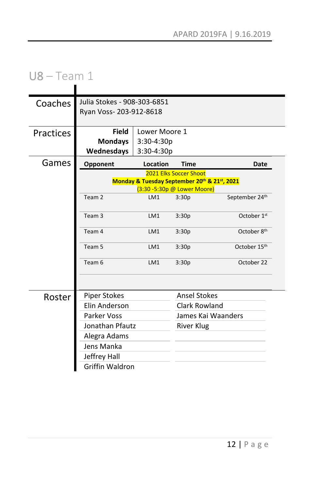# U8 – Team 1

| Coaches          | Julia Stokes - 908-303-6851<br>Ryan Voss-203-912-8618 |               |                                                                        |                |
|------------------|-------------------------------------------------------|---------------|------------------------------------------------------------------------|----------------|
| <b>Practices</b> | <b>Field</b>                                          | Lower Moore 1 |                                                                        |                |
|                  | <b>Mondays</b>                                        | $3:30-4:30p$  |                                                                        |                |
|                  | Wednesdays                                            | 3:30-4:30p    |                                                                        |                |
| Games            | Opponent                                              | Location      | <b>Time</b>                                                            | Date           |
|                  |                                                       |               | 2021 Elks Soccer Shoot<br>Monday & Tuesday September 20th & 21st, 2021 |                |
|                  |                                                       |               | (3:30 -5:30p @ Lower Moore)                                            |                |
|                  | Team 2                                                | LM1           | 3:30p                                                                  | September 24th |
|                  | Team <sub>3</sub>                                     | LM1           | 3:30p                                                                  | October 1st    |
|                  | Team 4                                                | LM1           | 3:30p                                                                  | October 8th    |
|                  | Team 5                                                | LM1           | 3:30p                                                                  | October 15th   |
|                  | Team 6                                                | LM1           | 3:30p                                                                  | October 22     |
|                  |                                                       |               |                                                                        |                |
| Roster           | <b>Piper Stokes</b>                                   |               | <b>Ansel Stokes</b>                                                    |                |
|                  | Elin Anderson                                         |               | Clark Rowland                                                          |                |
|                  | Parker Voss                                           |               | James Kai Waanders                                                     |                |
|                  | Jonathan Pfautz                                       |               | River Klug                                                             |                |
|                  | Alegra Adams                                          |               |                                                                        |                |
|                  | Jens Manka                                            |               |                                                                        |                |
|                  | Jeffrey Hall                                          |               |                                                                        |                |
|                  | Griffin Waldron                                       |               |                                                                        |                |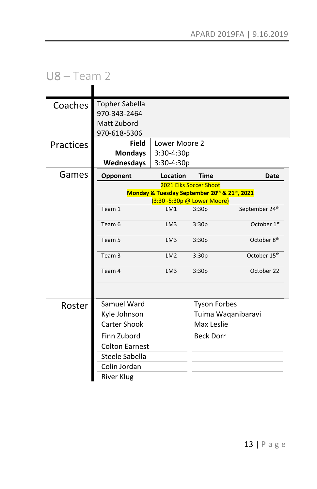# U8 – Team 2

| Coaches   | <b>Topher Sabella</b> |                                                                             |                               |                          |
|-----------|-----------------------|-----------------------------------------------------------------------------|-------------------------------|--------------------------|
|           | 970-343-2464          |                                                                             |                               |                          |
|           | Matt Zubord           |                                                                             |                               |                          |
|           | 970-618-5306          |                                                                             |                               |                          |
| Practices | Field                 | Lower Moore 2                                                               |                               |                          |
|           | <b>Mondays</b>        | 3:30-4:30p                                                                  |                               |                          |
|           | Wednesdays            | 3:30-4:30p                                                                  |                               |                          |
| Games     | Opponent              | Location                                                                    | <b>Time</b>                   | Date                     |
|           |                       |                                                                             | <b>2021 Elks Soccer Shoot</b> |                          |
|           |                       | Monday & Tuesday September 20th & 21st, 2021<br>(3:30 -5:30p @ Lower Moore) |                               |                          |
|           | Team 1                | LM1                                                                         | 3:30p                         | September 24th           |
|           | Team 6                | LM <sub>3</sub>                                                             | 3:30p                         | October 1st              |
|           | Team 5                | LM <sub>3</sub>                                                             | 3:30p                         | October 8 <sup>th</sup>  |
|           | Team 3                | LM <sub>2</sub>                                                             | 3:30p                         | October 15 <sup>th</sup> |
|           | Team 4                | LM3                                                                         | 3:30p                         | October 22               |
|           |                       |                                                                             |                               |                          |
| Roster    | Samuel Ward           |                                                                             | <b>Tyson Forbes</b>           |                          |
|           | Kyle Johnson          |                                                                             |                               | Tuima Waqanibaravi       |
|           | Carter Shook          |                                                                             | Max Leslie                    |                          |
|           | Finn Zubord           |                                                                             | <b>Beck Dorr</b>              |                          |
|           | <b>Colton Earnest</b> |                                                                             |                               |                          |
|           | Steele Sabella        |                                                                             |                               |                          |
|           | Colin Jordan          |                                                                             |                               |                          |
|           | <b>River Klug</b>     |                                                                             |                               |                          |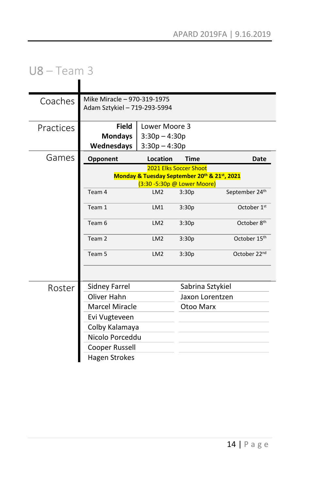### U8 – Team 3  $\blacksquare$

| Coaches   | Mike Miracle - 970-319-1975  |                                                |                        |                          |
|-----------|------------------------------|------------------------------------------------|------------------------|--------------------------|
|           | Adam Sztykiel - 719-293-5994 |                                                |                        |                          |
| Practices | <b>Field</b>                 | Lower Moore 3                                  |                        |                          |
|           | <b>Mondays</b>               | $3:30p - 4:30p$                                |                        |                          |
|           | Wednesdays                   | $3:30p - 4:30p$                                |                        |                          |
| Games     | Opponent                     | Location                                       | <b>Time</b>            | Date                     |
|           |                              |                                                | 2021 Elks Soccer Shoot |                          |
|           |                              | Monday & Tuesday September 20th & 21st, 2021   |                        |                          |
|           | Team 4                       | (3:30 -5:30p @ Lower Moore)<br>LM <sub>2</sub> | 3:30p                  | September 24th           |
|           |                              |                                                |                        |                          |
|           | Team 1                       | LM1                                            | 3:30p                  | October 1st              |
|           | Team 6                       | LM <sub>2</sub>                                | 3:30p                  | October 8 <sup>th</sup>  |
|           | Team 2                       | LM <sub>2</sub>                                | 3:30p                  | October 15th             |
|           | Team 5                       | LM <sub>2</sub>                                | 3:30p                  | October 22 <sup>nd</sup> |
|           |                              |                                                |                        |                          |
| Roster    | <b>Sidney Farrel</b>         |                                                | Sabrina Sztykiel       |                          |
|           | Oliver Hahn                  |                                                | Jaxon Lorentzen        |                          |
|           | <b>Marcel Miracle</b>        |                                                | Otoo Marx              |                          |
|           | Evi Vugteveen                |                                                |                        |                          |
|           | Colby Kalamaya               |                                                |                        |                          |
|           | Nicolo Porceddu              |                                                |                        |                          |
|           | Cooper Russell               |                                                |                        |                          |
|           | <b>Hagen Strokes</b>         |                                                |                        |                          |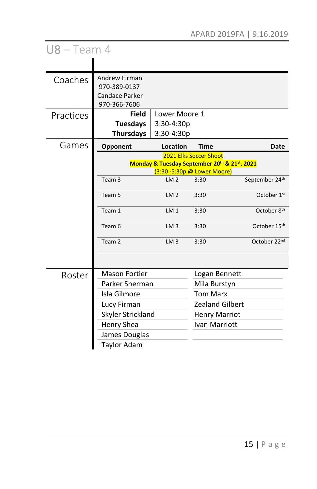| $US - Team 4$ |                                                                               |                                                                             |                        |                          |
|---------------|-------------------------------------------------------------------------------|-----------------------------------------------------------------------------|------------------------|--------------------------|
|               |                                                                               |                                                                             |                        |                          |
| Coaches       | <b>Andrew Firman</b><br>970-389-0137<br><b>Candace Parker</b><br>970-366-7606 |                                                                             |                        |                          |
| Practices     | <b>Field</b><br><b>Tuesdays</b><br><b>Thursdays</b>                           | Lower Moore 1<br>$3:30-4:30p$<br>$3:30-4:30p$                               |                        |                          |
| Games         | Opponent                                                                      | Location                                                                    | <b>Time</b>            | Date                     |
|               |                                                                               | Monday & Tuesday September 20th & 21st, 2021<br>(3:30 -5:30p @ Lower Moore) | 2021 Elks Soccer Shoot |                          |
|               | Team <sub>3</sub>                                                             | LM <sub>2</sub>                                                             | 3:30                   | September 24th           |
|               | Team 5                                                                        | LM <sub>2</sub>                                                             | 3:30                   | October 1 <sup>st</sup>  |
|               | Team 1                                                                        | LM <sub>1</sub>                                                             | 3:30                   | October 8 <sup>th</sup>  |
|               | Team 6                                                                        | LM <sub>3</sub>                                                             | 3:30                   | October 15 <sup>th</sup> |
|               | Team <sub>2</sub>                                                             | LM <sub>3</sub>                                                             | 3:30                   | October 22nd             |
|               |                                                                               |                                                                             |                        |                          |
| Roster        | <b>Mason Fortier</b>                                                          |                                                                             | Logan Bennett          |                          |
|               | Parker Sherman                                                                |                                                                             | Mila Burstyn           |                          |
|               | Isla Gilmore                                                                  |                                                                             | <b>Tom Marx</b>        |                          |
|               | Lucy Firman                                                                   |                                                                             | <b>Zealand Gilbert</b> |                          |
|               | Skyler Strickland                                                             |                                                                             | <b>Henry Marriot</b>   |                          |
|               | Henry Shea                                                                    |                                                                             | Ivan Marriott          |                          |
|               | James Douglas                                                                 |                                                                             |                        |                          |
|               | <b>Taylor Adam</b>                                                            |                                                                             |                        |                          |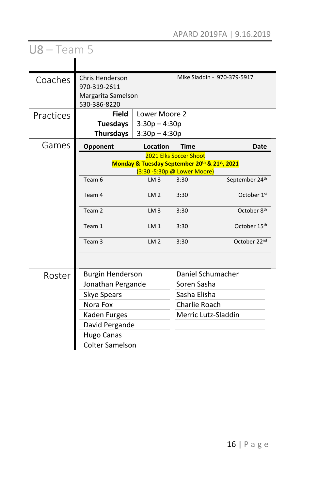| $US - Team 5$ |                                                                              |                                                                             |                               |                             |
|---------------|------------------------------------------------------------------------------|-----------------------------------------------------------------------------|-------------------------------|-----------------------------|
|               |                                                                              |                                                                             |                               |                             |
| Coaches       | <b>Chris Henderson</b><br>970-319-2611<br>Margarita Samelson<br>530-386-8220 |                                                                             |                               | Mike Sladdin - 970-379-5917 |
| Practices     | <b>Field</b><br><b>Tuesdays</b><br><b>Thursdays</b>                          | Lower Moore 2<br>$3:30p - 4:30p$<br>$3:30p - 4:30p$                         |                               |                             |
| Games         | Opponent                                                                     | Location                                                                    | <b>Time</b>                   | Date                        |
|               |                                                                              | Monday & Tuesday September 20th & 21st, 2021<br>(3:30 -5:30p @ Lower Moore) | 2021 Elks Soccer Shoot        |                             |
|               | Team 6                                                                       | LM3                                                                         | 3:30                          | September 24th              |
|               | Team 4                                                                       | LM <sub>2</sub>                                                             | 3:30                          | October 1 <sup>st</sup>     |
|               | Team 2                                                                       | LM <sub>3</sub>                                                             | 3:30                          | October 8 <sup>th</sup>     |
|               | Team 1                                                                       | LM <sub>1</sub>                                                             | 3:30                          | October 15 <sup>th</sup>    |
|               | Team <sub>3</sub>                                                            | LM <sub>2</sub>                                                             | 3:30                          | October 22nd                |
|               |                                                                              |                                                                             |                               |                             |
| Roster        | <b>Burgin Henderson</b>                                                      |                                                                             |                               | Daniel Schumacher           |
|               | Jonathan Pergande                                                            |                                                                             | Soren Sasha                   |                             |
|               | Skye Spears<br>Nora Fox                                                      |                                                                             | Sasha Elisha<br>Charlie Roach |                             |
|               | Kaden Furges                                                                 |                                                                             | Merric Lutz-Sladdin           |                             |
|               | David Pergande                                                               |                                                                             |                               |                             |
|               | <b>Hugo Canas</b>                                                            |                                                                             |                               |                             |
|               | <b>Colter Samelson</b>                                                       |                                                                             |                               |                             |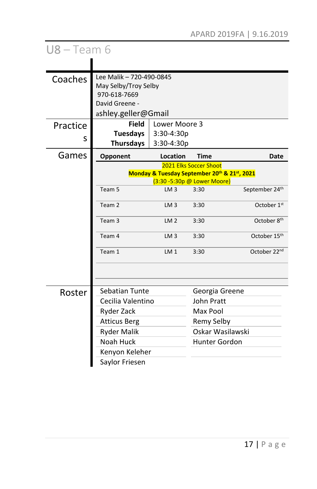| $US - Team 6$ |                                                                             |                 |                        |                          |
|---------------|-----------------------------------------------------------------------------|-----------------|------------------------|--------------------------|
|               |                                                                             |                 |                        |                          |
| Coaches       | Lee Malik - 720-490-0845                                                    |                 |                        |                          |
|               | May Selby/Troy Selby<br>970-618-7669                                        |                 |                        |                          |
|               | David Greene -                                                              |                 |                        |                          |
|               | ashley.geller@Gmail                                                         |                 |                        |                          |
| Practice      | <b>Field</b>                                                                | Lower Moore 3   |                        |                          |
|               | <b>Tuesdays</b>                                                             | 3:30-4:30p      |                        |                          |
| S             | <b>Thursdays</b>                                                            | 3:30-4:30p      |                        |                          |
| Games         | Opponent                                                                    | Location        | Time                   | <b>Date</b>              |
|               |                                                                             |                 | 2021 Elks Soccer Shoot |                          |
|               | Monday & Tuesday September 20th & 21st, 2021<br>(3:30 -5:30p @ Lower Moore) |                 |                        |                          |
|               | Team 5                                                                      | LM <sub>3</sub> | 3:30                   | September 24th           |
|               | Team <sub>2</sub>                                                           | LM <sub>3</sub> | 3:30                   | October 1st              |
|               |                                                                             |                 |                        |                          |
|               | Team <sub>3</sub>                                                           | LM <sub>2</sub> | 3:30                   | October 8 <sup>th</sup>  |
|               | Team 4                                                                      | LM <sub>3</sub> | 3:30                   | October 15 <sup>th</sup> |
|               | Team 1                                                                      | LM <sub>1</sub> | 3:30                   | October 22 <sup>nd</sup> |
|               |                                                                             |                 |                        |                          |
|               |                                                                             |                 |                        |                          |
| Roster        | Sebatian Tunte                                                              |                 | Georgia Greene         |                          |
|               | Cecilia Valentino                                                           |                 | John Pratt             |                          |
|               | Ryder Zack                                                                  |                 | Max Pool               |                          |
|               | <b>Atticus Berg</b>                                                         |                 | Remy Selby             |                          |
|               | <b>Ryder Malik</b>                                                          |                 |                        | Oskar Wasilawski         |
|               | Noah Huck                                                                   |                 | <b>Hunter Gordon</b>   |                          |
|               | Kenyon Keleher                                                              |                 |                        |                          |
|               | Saylor Friesen                                                              |                 |                        |                          |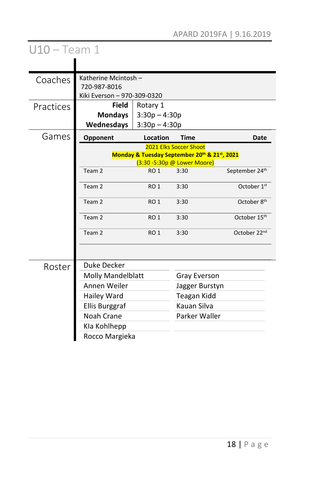| $U10 - Team 1$ |                                                                     |                                                |                                                                                                       |                         |
|----------------|---------------------------------------------------------------------|------------------------------------------------|-------------------------------------------------------------------------------------------------------|-------------------------|
|                |                                                                     |                                                |                                                                                                       |                         |
| Coaches        | Katherine Mcintosh -<br>720-987-8016<br>Kiki Everson - 970-309-0320 |                                                |                                                                                                       |                         |
| Practices      | <b>Field</b><br><b>Mondays</b><br>Wednesdays                        | Rotary 1<br>$3:30p - 4:30p$<br>$3:30p - 4:30p$ |                                                                                                       |                         |
| Games          | Opponent                                                            | Location                                       | <b>Time</b>                                                                                           | Date                    |
|                |                                                                     |                                                | 2021 Elks Soccer Shoot<br>Monday & Tuesday September 20th & 21st, 2021<br>(3:30 -5:30p @ Lower Moore) |                         |
|                | Team 2                                                              | RO <sub>1</sub>                                | 3:30                                                                                                  | September 24th          |
|                | Team 2                                                              | RO <sub>1</sub>                                | 3:30                                                                                                  | October 1 <sup>st</sup> |
|                | Team 2                                                              | RO <sub>1</sub>                                | 3:30                                                                                                  | October 8th             |
|                | Team 2                                                              | RO <sub>1</sub>                                | 3:30                                                                                                  | October 15th            |
|                | Team 2                                                              | RO <sub>1</sub>                                | 3:30                                                                                                  | October 22nd            |
|                |                                                                     |                                                |                                                                                                       |                         |
| Roster         | <b>Duke Decker</b>                                                  |                                                |                                                                                                       |                         |
|                | Molly Mandelblatt                                                   |                                                | <b>Gray Everson</b>                                                                                   |                         |
|                | Annen Weiler                                                        |                                                | Jagger Burstyn                                                                                        |                         |
|                | Hailey Ward                                                         |                                                | Teagan Kidd                                                                                           |                         |
|                | Ellis Burggraf                                                      |                                                | Kauan Silva                                                                                           |                         |
|                | Noah Crane                                                          |                                                | Parker Waller                                                                                         |                         |
|                | Kla Kohlhepp                                                        |                                                |                                                                                                       |                         |
|                | Rocco Margieka                                                      |                                                |                                                                                                       |                         |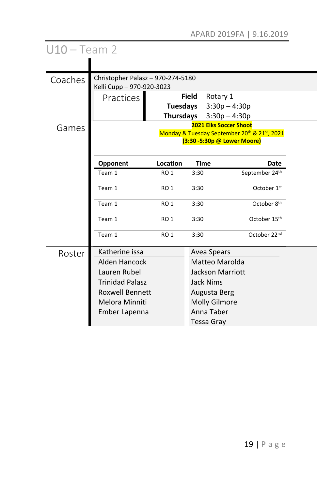| $U10 - Team 2$ |                                                                |                 |              |                                                  |                                              |  |
|----------------|----------------------------------------------------------------|-----------------|--------------|--------------------------------------------------|----------------------------------------------|--|
|                |                                                                |                 |              |                                                  |                                              |  |
| Coaches        | Christopher Palasz - 970-274-5180<br>Kelli Cupp - 970-920-3023 |                 |              |                                                  |                                              |  |
|                | Practices                                                      |                 | <b>Field</b> | Rotary 1                                         |                                              |  |
|                |                                                                | <b>Tuesdays</b> |              | $3:30p - 4:30p$                                  |                                              |  |
|                |                                                                | Thursdays       |              | $3:30p - 4:30p$<br><b>2021 Elks Soccer Shoot</b> |                                              |  |
| Games          |                                                                |                 |              | (3:30 -5:30p @ Lower Moore)                      | Monday & Tuesday September 20th & 21st, 2021 |  |
|                | Opponent                                                       | Location        |              | <b>Time</b>                                      | Date                                         |  |
|                | Team 1                                                         | RO <sub>1</sub> | 3:30         |                                                  | September 24th                               |  |
|                | Team 1                                                         | <b>RO 1</b>     | 3:30         |                                                  | October 1st                                  |  |
|                | Team 1                                                         | RO <sub>1</sub> | 3:30         |                                                  | October 8 <sup>th</sup>                      |  |
|                | Team 1                                                         | RO <sub>1</sub> | 3:30         |                                                  | October 15th                                 |  |
|                | Team 1                                                         | <b>RO 1</b>     | 3:30         |                                                  | October 22 <sup>nd</sup>                     |  |
| Roster         | Katherine issa                                                 |                 |              | <b>Avea Spears</b>                               |                                              |  |
|                | Alden Hancock                                                  |                 |              | Matteo Marolda                                   |                                              |  |
|                | Lauren Rubel                                                   |                 |              | <b>Jackson Marriott</b>                          |                                              |  |
|                | <b>Trinidad Palasz</b>                                         |                 |              | Jack Nims                                        |                                              |  |
|                | <b>Roxwell Bennett</b>                                         |                 | Augusta Berg |                                                  |                                              |  |
|                | Melora Minniti                                                 |                 |              | <b>Molly Gilmore</b>                             |                                              |  |
|                | Ember Lapenna                                                  |                 |              | Anna Taber                                       |                                              |  |
|                |                                                                |                 |              | Tessa Gray                                       |                                              |  |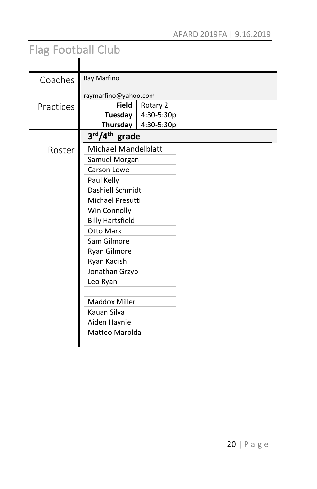# Flag Football Club

| Coaches   | Ray Marfino                |            |  |
|-----------|----------------------------|------------|--|
|           | raymarfino@yahoo.com       |            |  |
| Practices | <b>Field</b>               | Rotary 2   |  |
|           | Tuesday                    | 4:30-5:30p |  |
|           | Thursday                   | 4:30-5:30p |  |
|           | 3rd/4 <sup>th</sup> grade  |            |  |
| Roster    | <b>Michael Mandelblatt</b> |            |  |
|           | Samuel Morgan              |            |  |
|           | Carson Lowe                |            |  |
|           | Paul Kelly                 |            |  |
|           | Dashiell Schmidt           |            |  |
|           | Michael Presutti           |            |  |
|           | Win Connolly               |            |  |
|           | <b>Billy Hartsfield</b>    |            |  |
|           | Otto Marx                  |            |  |
|           | Sam Gilmore                |            |  |
|           | Ryan Gilmore               |            |  |
|           | Ryan Kadish                |            |  |
|           | Jonathan Grzyb             |            |  |
|           | Leo Ryan                   |            |  |
|           |                            |            |  |
|           | <b>Maddox Miller</b>       |            |  |
|           | Kauan Silva                |            |  |
|           | Aiden Haynie               |            |  |
|           | Matteo Marolda             |            |  |
|           |                            |            |  |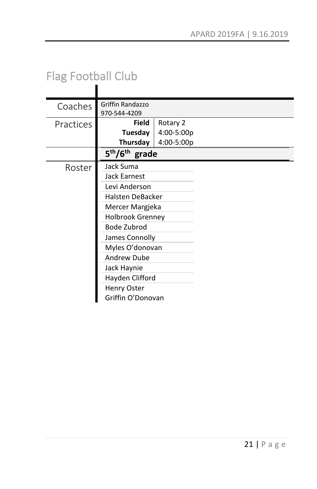# Flag Football Club

| Coaches   | Griffin Randazzo                                     |            |  |
|-----------|------------------------------------------------------|------------|--|
|           | 970-544-4209                                         |            |  |
| Practices | <b>Field</b>                                         | Rotary 2   |  |
|           | Tuesday                                              | 4:00-5:00p |  |
|           | Thursday                                             | 4:00-5:00p |  |
|           | 5 <sup>th</sup> /6 <sup>th</sup> grade               |            |  |
| Roster    | Jack Suma                                            |            |  |
|           | Jack Earnest                                         |            |  |
|           | Levi Anderson<br>Halsten DeBacker<br>Mercer Margjeka |            |  |
|           |                                                      |            |  |
|           |                                                      |            |  |
|           | <b>Holbrook Grenney</b>                              |            |  |
|           | Bode Zubrod                                          |            |  |
|           | James Connolly                                       |            |  |
|           | Myles O'donovan                                      |            |  |
|           | <b>Andrew Dube</b>                                   |            |  |
|           | Jack Haynie                                          |            |  |
|           | Hayden Clifford                                      |            |  |
|           | Henry Oster                                          |            |  |
|           | Griffin O'Donovan                                    |            |  |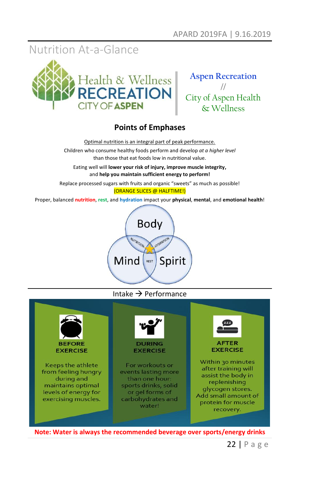## Nutrition At-a-Glance





### **Points of Emphases**

Optimal nutrition is an integral part of peak performance.

Children who consume healthy foods perform and develop *at a higher level* than those that eat foods low in nutritional value.

Eating well will **lower your risk of injury, improve muscle integrity,** and **help you maintain sufficient energy to perform!**

Replace processed sugars with fruits and organic "sweets" as much as possible!

#### (ORANGE SLICES @ HALFTIME!)

Proper, balanced **nutrition**, **rest**, and **hydration** impact your **physical**, **mental**, and **emotional health**!



#### Intake  $\rightarrow$  Performance



**Note: Water is always the recommended beverage over sports/energy drinks**

22 | P a g e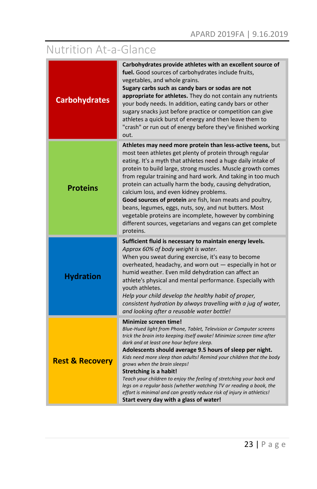# Nutrition At-a-Glance

| <b>Carbohydrates</b>       | Carbohydrates provide athletes with an excellent source of<br>fuel. Good sources of carbohydrates include fruits,<br>vegetables, and whole grains.<br>Sugary carbs such as candy bars or sodas are not<br>appropriate for athletes. They do not contain any nutrients<br>your body needs. In addition, eating candy bars or other<br>sugary snacks just before practice or competition can give<br>athletes a quick burst of energy and then leave them to<br>"crash" or run out of energy before they've finished working<br>out.                                                                                                                                                               |
|----------------------------|--------------------------------------------------------------------------------------------------------------------------------------------------------------------------------------------------------------------------------------------------------------------------------------------------------------------------------------------------------------------------------------------------------------------------------------------------------------------------------------------------------------------------------------------------------------------------------------------------------------------------------------------------------------------------------------------------|
| <b>Proteins</b>            | Athletes may need more protein than less-active teens, but<br>most teen athletes get plenty of protein through regular<br>eating. It's a myth that athletes need a huge daily intake of<br>protein to build large, strong muscles. Muscle growth comes<br>from regular training and hard work. And taking in too much<br>protein can actually harm the body, causing dehydration,<br>calcium loss, and even kidney problems.<br><b>Good sources of protein</b> are fish, lean meats and poultry,<br>beans, legumes, eggs, nuts, soy, and nut butters. Most<br>vegetable proteins are incomplete, however by combining<br>different sources, vegetarians and vegans can get complete<br>proteins. |
| <b>Hydration</b>           | Sufficient fluid is necessary to maintain energy levels.<br>Approx 60% of body weight is water.<br>When you sweat during exercise, it's easy to become<br>overheated, headachy, and worn out — especially in hot or<br>humid weather. Even mild dehydration can affect an<br>athlete's physical and mental performance. Especially with<br>youth athletes.<br>Help your child develop the healthy habit of proper,<br>consistent hydration by always travelling with a jug of water,<br>and looking after a reusable water bottle!                                                                                                                                                               |
| <b>Rest &amp; Recovery</b> | Minimize screen time!<br>Blue-Hued light from Phone, Tablet, Television or Computer screens<br>trick the brain into keeping itself awake! Minimize screen time after<br>dark and at least one hour before sleep.<br>Adolescents should average 9.5 hours of sleep per night.<br>Kids need more sleep than adults! Remind your children that the body<br>grows when the brain sleeps!<br>Stretching is a habit!<br>Teach your children to enjoy the feeling of stretching your back and<br>legs on a regular basis (whether watching TV or reading a book, the<br>effort is minimal and can greatly reduce risk of injury in athletics!<br>Start every day with a glass of water!                 |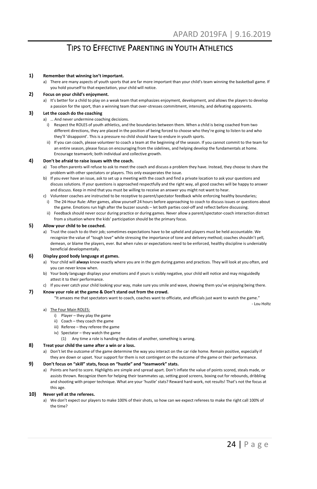### TIPS TO EFFECTIVE PARENTING IN YOUTH ATHLETICS

#### **1) Remember that winning isn't important.**

a) There are many aspects of youth sports that are far more important than your child's team winning the basketball game. If you hold yourself to that expectation, your child will notice.

#### **2) Focus on your child's enjoyment.**

a) It's better for a child to play on a weak team that emphasizes enjoyment, development, and allows the players to develop a passion for the sport, than a winning team that over-stresses commitment, intensity, and defeating opponents.

#### **3) Let the coach do the coaching**

- a) … And never undermine coaching decisions.
	- i) Respect the ROLES of youth athletics, and the boundaries between them. When a child is being coached from two different directions, they are placed in the position of being forced to choose who they're going to listen to and who they'll 'disappoint'. This is a pressure no child should have to endure in youth sports.
	- ii) If you can coach, please volunteer to coach a team at the beginning of the season. If you cannot commit to the team for an entire season, please focus on encouraging from the sidelines, and helping develop the fundamentals at home. Encourage teamwork; both individual and collective growth.

#### **4) Don't be afraid to raise issues with the coach.**

- a) Too often parents will refuse to ask to meet the coach and discuss a problem they have. Instead, they choose to share the problem with other spectators or players. This only exasperates the issue.
- b) If you ever have an issue, ask to set up a meeting with the coach and find a private location to ask your questions and discuss solutions. If your questions is approached respectfully and the right way, all good coaches will be happy to answer and discuss. Keep in mind that you must be willing to receive an answer you might not want to hear.
- c) Volunteer coaches are instructed to be receptive to parent/spectator feedback while enforcing healthy boundaries; i) The 24-Hour Rule: After games, allow yourself 24 hours before approaching to coach to discuss issues or questions about
	- the game. Emotions run high after the buzzer sounds let both parties cool-off and reflect before discussing. ii) Feedback should never occur during practice or during games. Never allow a parent/spectator-coach interaction distract from a situation where the kids' participation should be the primary focus.

#### **5) Allow your child to be coached.**

a) Trust the coach to do their job; sometimes expectations have to be upheld and players must be held accountable. We recognize the value of "tough love" while stressing the importance of tone and delivery method; coaches shouldn't yell, demean, or blame the players, ever. But when rules or expectations need to be enforced, healthy discipline is undeniably beneficial developmentally.

#### **6) Display good body language at games.**

- a) Your child will **always** know exactly where you are in the gym during games and practices. They will look at you often, and you can never know when.
- b) Your body language displays your emotions and if yours is visibly negative, your child will notice and may misguidedly attest it to their performance.
- c) If you ever catch your child looking your way, make sure you smile and wave, showing them you've enjoying being there. **7) Know your role at the game & Don't stand out from the crowd.**

"It amazes me that spectators want to coach, coaches want to officiate, and officials just want to watch the game."

#### a) The Four Main ROLES:

- i) Player they play the game
- ii) Coach they coach the game
- iii) Referee they referee the game
- iv) Spectator they watch the game
	- (1) Any time a role is handing the duties of another, something is wrong.

#### **8) Treat your child the same after a win or a loss.**

a) Don't let the outcome of the game determine the way you interact on the car ride home. Remain positive, especially if they are down or upset. Your support for them is not contingent on the outcome of the game or their performance.

#### **9) Don't focus on "skill" stats, focus on "hustle" and "teamwork" stats.**

a) Points are hard to score. Highlights are simple and spread apart. Don't inflate the value of points scored, steals made, or assists thrown. Recognize them for helping their teammates up, setting good screens, boxing out for rebounds, dribbling and shooting with proper technique. What are your 'hustle' stats? Reward hard-work, not results! That's not the focus at this age.

#### **10) Never yell at the referees.**

a) We don't expect our players to make 100% of their shots, so how can we expect referees to make the right call 100% of the time?

- Lou Holtz